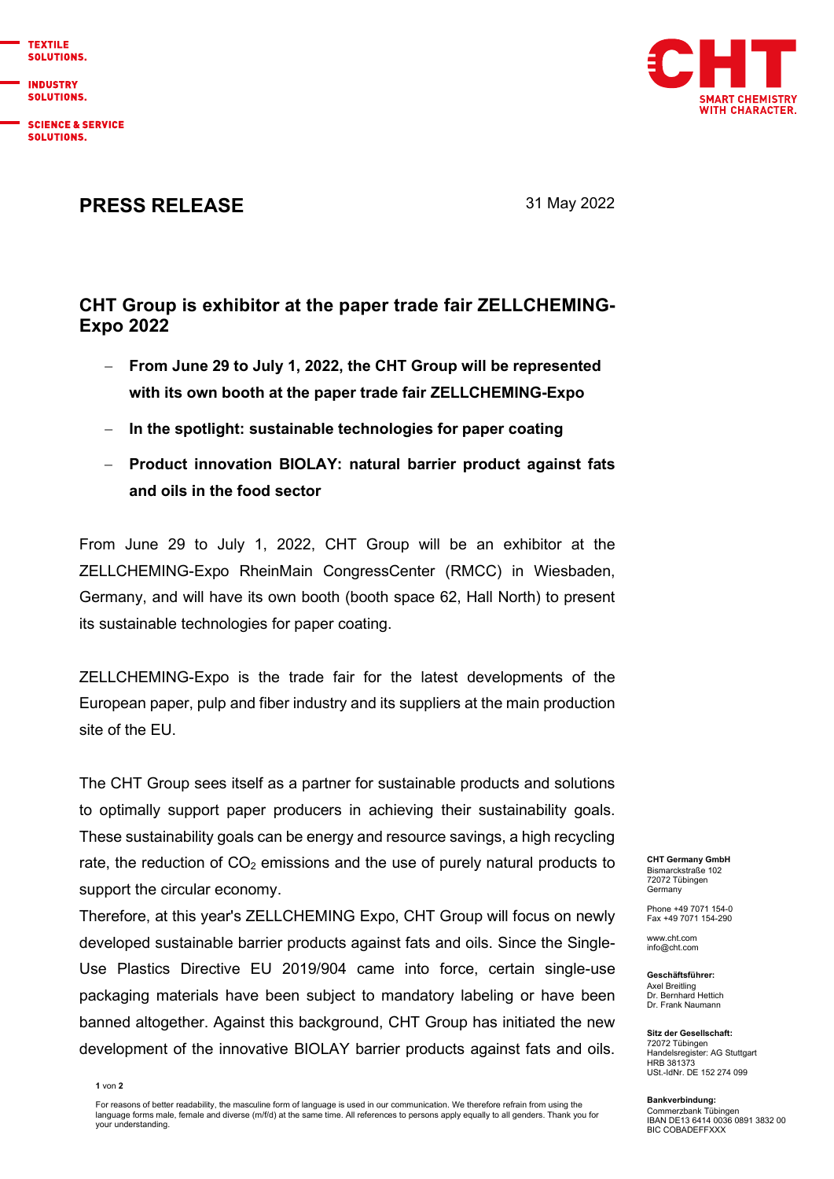

**INDUSTRY SOLUTIONS.** 

**SCIENCE & SERVICE** SOLUTIONS.



## **PRESS RELEASE** 31 May 2022

## **CHT Group is exhibitor at the paper trade fair ZELLCHEMING-Expo 2022**

- − **From June 29 to July 1, 2022, the CHT Group will be represented with its own booth at the paper trade fair ZELLCHEMING-Expo**
- − **In the spotlight: sustainable technologies for paper coating**
- − **Product innovation BIOLAY: natural barrier product against fats and oils in the food sector**

From June 29 to July 1, 2022, CHT Group will be an exhibitor at the ZELLCHEMING-Expo RheinMain CongressCenter (RMCC) in Wiesbaden, Germany, and will have its own booth (booth space 62, Hall North) to present its sustainable technologies for paper coating.

ZELLCHEMING-Expo is the trade fair for the latest developments of the European paper, pulp and fiber industry and its suppliers at the main production site of the EU.

The CHT Group sees itself as a partner for sustainable products and solutions to optimally support paper producers in achieving their sustainability goals. These sustainability goals can be energy and resource savings, a high recycling rate, the reduction of  $CO<sub>2</sub>$  emissions and the use of purely natural products to support the circular economy.

Therefore, at this year's ZELLCHEMING Expo, CHT Group will focus on newly developed sustainable barrier products against fats and oils. Since the Single-Use Plastics Directive EU 2019/904 came into force, certain single-use packaging materials have been subject to mandatory labeling or have been banned altogether. Against this background, CHT Group has initiated the new development of the innovative BIOLAY barrier products against fats and oils.

**CHT Germany GmbH** Bismarckstraße 102 72072 Tübingen Germany

Phone +49 7071 154-0 Fax +49 7071 154-290

www.cht.com [info@cht.com](mailto:info@cht.com)

**Geschäftsführer:** Axel Breitling Dr. Bernhard Hettich Dr. Frank Naumann

**Sitz der Gesellschaft:** 72072 Tübingen Handelsregister: AG Stuttgart **HRB 381373** USt.-IdNr. DE 152 274 099

**Bankverbindung:** Commerzbank Tübingen IBAN DE13 6414 0036 0891 3832 00 BIC COBADEFFXXX

**1** von **2**

For reasons of better readability, the masculine form of language is used in our communication. We therefore refrain from using the language forms male, female and diverse (m/f/d) at the same time. All references to persons apply equally to all genders. Thank you for your understanding.